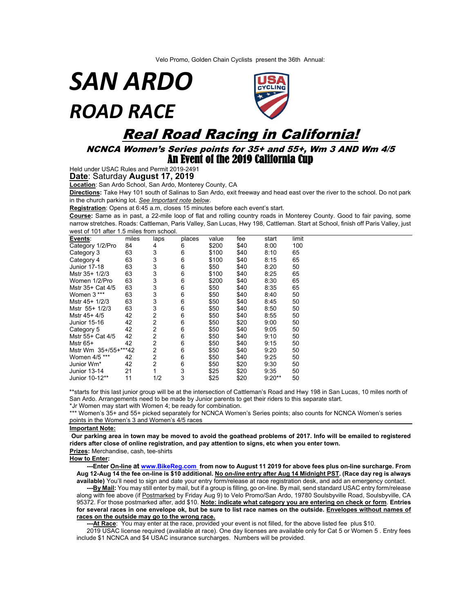Velo Promo, Golden Chain Cyclists present the 36th Annual:

*SAN ARDO ROAD RACE* 



## Real Road Racing in California!

## NCNCA Women's Series points for 35+ and 55+, Wm 3 AND Wm 4/5 An Event of the 2019 California Cup

Held under USAC Rules and Permit 2019-2491

**Date**: Saturday **August 17, 2019**

**Location**: San Ardo School, San Ardo, Monterey County, CA

**Directions:** Take Hwy 101 south of Salinas to San Ardo, exit freeway and head east over the river to the school. Do not park in the church parking lot. *See Important note below*.

**Registration**: Opens at 6:45 a.m, closes 15 minutes before each event's start.

**Course:** Same as in past, a 22-mile loop of flat and rolling country roads in Monterey County. Good to fair paving, some narrow stretches. Roads: Cattleman, Paris Valley, San Lucas, Hwy 198, Cattleman. Start at School, finish off Paris Valley, just west of 101 after 1.5 miles from school.

| Events:              | miles | laps           | places | value | fee  | start    | limit |
|----------------------|-------|----------------|--------|-------|------|----------|-------|
| Category 1/2/Pro     | 84    | 4              | 6      | \$200 | \$40 | 8:00     | 100   |
| Category 3           | 63    | 3              | 6      | \$100 | \$40 | 8:10     | 65    |
| Category 4           | 63    | 3              | 6      | \$100 | \$40 | 8:15     | 65    |
| <b>Junior 17-18</b>  | 63    | 3              | 6      | \$50  | \$40 | 8:20     | 50    |
| Mstr 35+ 1/2/3       | 63    | 3              | 6      | \$100 | \$40 | 8:25     | 65    |
| Women 1/2/Pro        | 63    | 3              | 6      | \$200 | \$40 | 8:30     | 65    |
| Mstr 35+ Cat 4/5     | 63    | 3              | 6      | \$50  | \$40 | 8:35     | 65    |
| Women 3***           | 63    | 3              | 6      | \$50  | \$40 | 8:40     | 50    |
| Mstr 45+ 1/2/3       | 63    | 3              | 6      | \$50  | \$40 | 8:45     | 50    |
| Mstr 55+ 1/2/3       | 63    | 3              | 6      | \$50  | \$40 | 8:50     | 50    |
| Mstr 45+ 4/5         | 42    | 2              | 6      | \$50  | \$40 | 8:55     | 50    |
| <b>Junior 15-16</b>  | 42    | 2              | 6      | \$50  | \$20 | 9:00     | 50    |
| Category 5           | 42    | $\overline{2}$ | 6      | \$50  | \$40 | 9:05     | 50    |
| Mstr 55+ Cat 4/5     | 42    | 2              | 6      | \$50  | \$40 | 9:10     | 50    |
| Mstr 65+             | 42    | 2              | 6      | \$50  | \$40 | 9:15     | 50    |
| Mstr Wm 35+/55+***42 |       | 2              | 6      | \$50  | \$40 | 9:20     | 50    |
| Women 4/5 ***        | 42    | 2              | 6      | \$50  | \$40 | 9:25     | 50    |
| Junior Wm*           | 42    | $\overline{2}$ | 6      | \$50  | \$20 | 9:30     | 50    |
| Junior 13-14         | 21    |                | 3      | \$25  | \$20 | 9:35     | 50    |
| Junior 10-12**       | 11    | 1/2            | 3      | \$25  | \$20 | $9:20**$ | 50    |

\*\*starts for this last junior group will be at the intersection of Cattleman's Road and Hwy 198 in San Lucas, 10 miles north of San Ardo. Arrangements need to be made by Junior parents to get their riders to this separate start.

\*Jr Women may start with Women 4; be ready for combination.

\*\*\* Women's 35+ and 55+ picked separately for NCNCA Women's Series points; also counts for NCNCA Women's series points in the Women's 3 and Women's 4/5 races

## **Important Note:**

**Our parking area in town may be moved to avoid the goathead problems of 2017. Info will be emailed to registered riders after close of online registration, and pay attention to signs, etc when you enter town.** 

**Prizes:** Merchandise, cash, tee-shirts

## **How to Enter:**

 **---Enter On-line at [www.BikeReg.com](http://www.bikereg.com/) from now to August 11 2019 for above fees plus on-line surcharge. From Aug 12-Aug 14 the fee on-line is \$10 additional. No** *on-line* **entry after Aug 14 Midnight PST. (Race day reg is always available)** You'll need to sign and date your entry form/release at race registration desk, and add an emergency contact.

 **---By Mail:** You may still enter by mail, but if a group is filling, go on-line. By mail, send standard USAC entry form/release along with fee above (if Postmarked by Friday Aug 9) to Velo Promo/San Ardo, 19780 Soulsbyville Road, Soulsbyville, CA 95372. For those postmarked after, add \$10. **Note: indicate what category you are entering on check or form**. **Entries for several races in one envelope ok, but be sure to list race names on the outside. Envelopes without names of races on the outside may go to the wrong race.**

 **---At Race**: You may enter at the race, provided your event is not filled, for the above listed fee plus \$10.

2019 USAC license required (available at race). One day licenses are available only for Cat 5 or Women 5 . Entry fees include \$1 NCNCA and \$4 USAC insurance surcharges. Numbers will be provided.